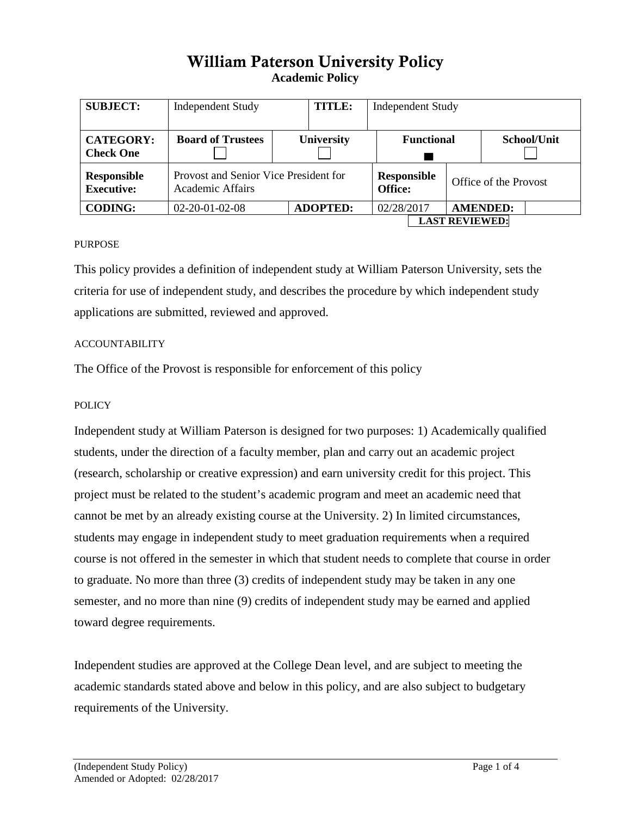# William Paterson University Policy **Academic Policy**

| <b>SUBJECT:</b>                      | <b>Independent Study</b>                                  |  | <b>TITLE:</b>     | <b>Independent Study</b> |                               |  |                       |                 |
|--------------------------------------|-----------------------------------------------------------|--|-------------------|--------------------------|-------------------------------|--|-----------------------|-----------------|
| <b>CATEGORY:</b><br><b>Check One</b> | <b>Board of Trustees</b>                                  |  | <b>University</b> | <b>Functional</b>        |                               |  | School/Unit           |                 |
| Responsible<br><b>Executive:</b>     | Provost and Senior Vice President for<br>Academic Affairs |  |                   |                          | <b>Responsible</b><br>Office: |  | Office of the Provost |                 |
| <b>CODING:</b>                       | $02 - 20 - 01 - 02 - 08$                                  |  | <b>ADOPTED:</b>   |                          | 02/28/2017                    |  |                       | <b>AMENDED:</b> |
|                                      |                                                           |  |                   | <b>LAST REVIEWED:</b>    |                               |  |                       |                 |

### PURPOSE

This policy provides a definition of independent study at William Paterson University, sets the criteria for use of independent study, and describes the procedure by which independent study applications are submitted, reviewed and approved.

#### ACCOUNTABILITY

The Office of the Provost is responsible for enforcement of this policy

#### **POLICY**

Independent study at William Paterson is designed for two purposes: 1) Academically qualified students, under the direction of a faculty member, plan and carry out an academic project (research, scholarship or creative expression) and earn university credit for this project. This project must be related to the student's academic program and meet an academic need that cannot be met by an already existing course at the University. 2) In limited circumstances, students may engage in independent study to meet graduation requirements when a required course is not offered in the semester in which that student needs to complete that course in order to graduate. No more than three (3) credits of independent study may be taken in any one semester, and no more than nine (9) credits of independent study may be earned and applied toward degree requirements.

Independent studies are approved at the College Dean level, and are subject to meeting the academic standards stated above and below in this policy, and are also subject to budgetary requirements of the University.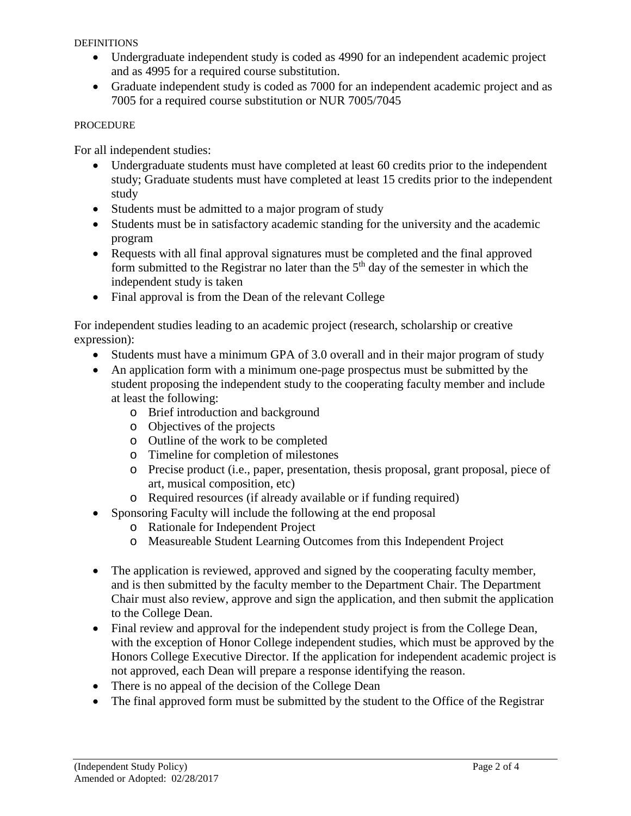DEFINITIONS

- Undergraduate independent study is coded as 4990 for an independent academic project and as 4995 for a required course substitution.
- Graduate independent study is coded as 7000 for an independent academic project and as 7005 for a required course substitution or NUR 7005/7045

## PROCEDURE

For all independent studies:

- Undergraduate students must have completed at least 60 credits prior to the independent study; Graduate students must have completed at least 15 credits prior to the independent study
- Students must be admitted to a major program of study
- Students must be in satisfactory academic standing for the university and the academic program
- Requests with all final approval signatures must be completed and the final approved form submitted to the Registrar no later than the  $5<sup>th</sup>$  day of the semester in which the independent study is taken
- Final approval is from the Dean of the relevant College

For independent studies leading to an academic project (research, scholarship or creative expression):

- Students must have a minimum GPA of 3.0 overall and in their major program of study
- An application form with a minimum one-page prospectus must be submitted by the student proposing the independent study to the cooperating faculty member and include at least the following:
	- o Brief introduction and background
	- o Objectives of the projects
	- o Outline of the work to be completed
	- o Timeline for completion of milestones
	- o Precise product (i.e., paper, presentation, thesis proposal, grant proposal, piece of art, musical composition, etc)
	- o Required resources (if already available or if funding required)
- Sponsoring Faculty will include the following at the end proposal
	- o Rationale for Independent Project
	- o Measureable Student Learning Outcomes from this Independent Project
- The application is reviewed, approved and signed by the cooperating faculty member, and is then submitted by the faculty member to the Department Chair. The Department Chair must also review, approve and sign the application, and then submit the application to the College Dean.
- Final review and approval for the independent study project is from the College Dean, with the exception of Honor College independent studies, which must be approved by the Honors College Executive Director. If the application for independent academic project is not approved, each Dean will prepare a response identifying the reason.
- There is no appeal of the decision of the College Dean
- The final approved form must be submitted by the student to the Office of the Registrar